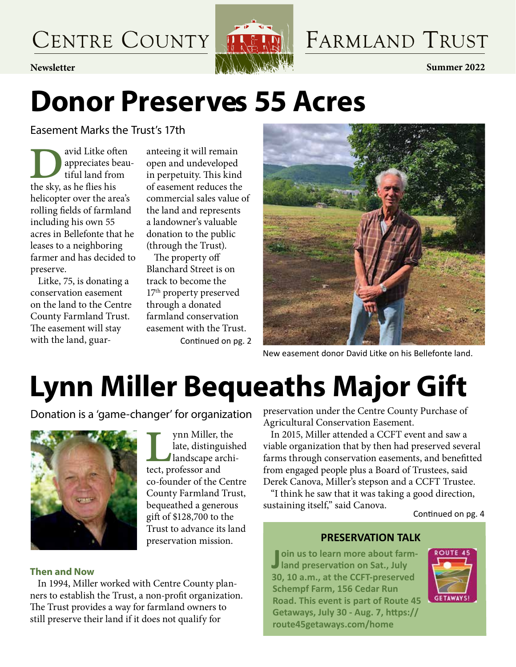CENTRE COUNTY



### FARMLAND TRUST

### **Donor Preserves 55 Acres**

Easement Marks the Trust's 17th

assement manks the<br>appreciates beau<br>tiful land from<br>the sky, as he flies his appreciates beautiful land from helicopter over the area's rolling fields of farmland including his own 55 acres in Bellefonte that he leases to a neighboring farmer and has decided to preserve.

Litke, 75, is donating a conservation easement on the land to the Centre County Farmland Trust. The easement will stay with the land, guaranteeing it will remain open and undeveloped in perpetuity. This kind of easement reduces the commercial sales value of the land and represents a landowner's valuable donation to the public (through the Trust).

The property off Blanchard Street is on track to become the 17th property preserved through a donated farmland conservation easement with the Trust. Continued on pg. 2

> late, distinguished landscape archi-

tect, professor and

co-founder of the Centre County Farmland Trust, bequeathed a generous gift of \$128,700 to the Trust to advance its land preservation mission.



New easement donor David Litke on his Bellefonte land.

## **Lynn Miller Bequeaths Major Gift**

manger for organization<br>
landscape architect, professor and Donation is a 'game-changer' for organization



### **Then and Now**

In 1994, Miller worked with Centre County planners to establish the Trust, a non-profit organization. The Trust provides a way for farmland owners to still preserve their land if it does not qualify for

preservation under the Centre County Purchase of Agricultural Conservation Easement.

In 2015, Miller attended a CCFT event and saw a viable organization that by then had preserved several farms through conservation easements, and benefitted from engaged people plus a Board of Trustees, said Derek Canova, Miller's stepson and a CCFT Trustee.

"I think he saw that it was taking a good direction, sustaining itself," said Canova.

Continued on pg. 4

### **PRESERVATION TALK**

Join us to learn more about farr<br>
land preservation on Sat., July  $\blacksquare$  oin us to learn more about farm-**30, 10 a.m., at the CCFT-preserved Schempf Farm, 156 Cedar Run Road. This event is part of Route 45 Getaways, July 30 - Aug. 7, https:// route45getaways.com/home**

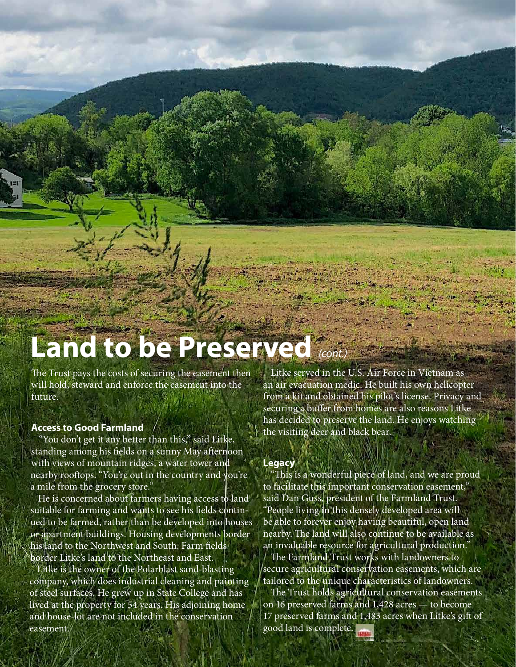### **Land to be Preserved** *(cont.)*

The Trust pays the costs of securing the easement then will hold, steward and enforce the easement into the future.

#### **Access to Good Farmland**

"You don't get it any better than this," said Litke, standing among his fields on a sunny May afternoon with views of mountain ridges, a water tower and nearby rooftops. "You're out in the country and you're a mile from the grocery store."

He is concerned about farmers having access to land suitable for farming and wants to see his fields continued to be farmed, rather than be developed into houses or apartment buildings. Housing developments border his land to the Northwest and South. Farm fields border Litke's land to the Northeast and East.

Litke is the owner of the Polarblast sand-blasting company, which does industrial cleaning and painting of steel surfaces. He grew up in State College and has lived at the property for 54 years. His adjoining home and house-lot are not included in the conservation easement.

Litke served in the U.S. Air Force in Vietnam as an air evacuation medic. He built his own helicopter from a kit and obtained his pilot's license. Privacy and securing a buffer from homes are also reasons Litke has decided to preserve the land. He enjoys watching the visiting deer and black bear.

#### **Legacy**

"This is a wonderful piece of land, and we are proud to facilitate this important conservation easement," said Dan Guss, president of the Farmland Trust. "People living in this densely developed area will be able to forever enjoy having beautiful, open land nearby. The land will also continue to be available as an invaluable resource for agricultural production."

The Farmland Trust works with landowners to secure agricultural conservation easements, which are tailored to the unique characteristics of landowners.

The Trust holds agricultural conservation easements on 16 preserved farms and 1,428 acres — to become 17 preserved farms and 1,483 acres when Litke's gift of good land is complete.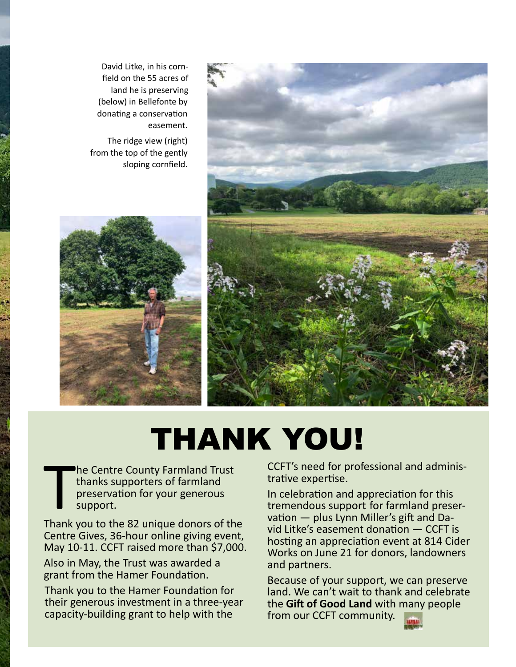

David Litke, in his cornfield on the 55 acres of land he is preserving (below) in Bellefonte by donating a conservation easement.

The ridge view (right) from the top of the gently sloping cornfield.



### THANK YOU!

 $\prod_{\text{Thank}}$ he Centre County Farmland Trust thanks supporters of farmland preservation for your generous support.

Thank you to the 82 unique donors of the Centre Gives, 36-hour online giving event, May 10-11. CCFT raised more than \$7,000.

Also in May, the Trust was awarded a grant from the Hamer Foundation.

Thank you to the Hamer Foundation for their generous investment in a three-year capacity-building grant to help with the

CCFT's need for professional and administrative expertise.

In celebration and appreciation for this tremendous support for farmland preservation — plus Lynn Miller's gift and David Litke's easement donation — CCFT is hosting an appreciation event at 814 Cider Works on June 21 for donors, landowners and partners.

Because of your support, we can preserve land. We can't wait to thank and celebrate the **Gift of Good Land** with many people from our CCFT community.